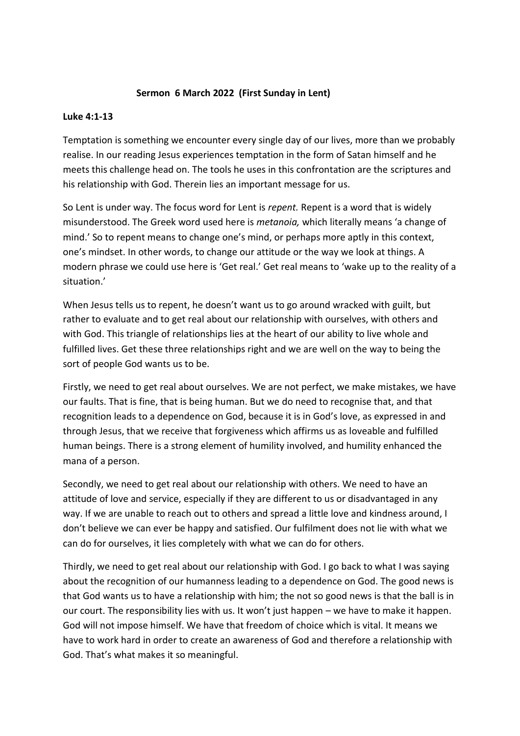## **Sermon 6 March 2022 (First Sunday in Lent)**

## **Luke 4:1-13**

Temptation is something we encounter every single day of our lives, more than we probably realise. In our reading Jesus experiences temptation in the form of Satan himself and he meets this challenge head on. The tools he uses in this confrontation are the scriptures and his relationship with God. Therein lies an important message for us.

So Lent is under way. The focus word for Lent is *repent.* Repent is a word that is widely misunderstood. The Greek word used here is *metanoia,* which literally means 'a change of mind.' So to repent means to change one's mind, or perhaps more aptly in this context, one's mindset. In other words, to change our attitude or the way we look at things. A modern phrase we could use here is 'Get real.' Get real means to 'wake up to the reality of a situation.'

When Jesus tells us to repent, he doesn't want us to go around wracked with guilt, but rather to evaluate and to get real about our relationship with ourselves, with others and with God. This triangle of relationships lies at the heart of our ability to live whole and fulfilled lives. Get these three relationships right and we are well on the way to being the sort of people God wants us to be.

Firstly, we need to get real about ourselves. We are not perfect, we make mistakes, we have our faults. That is fine, that is being human. But we do need to recognise that, and that recognition leads to a dependence on God, because it is in God's love, as expressed in and through Jesus, that we receive that forgiveness which affirms us as loveable and fulfilled human beings. There is a strong element of humility involved, and humility enhanced the mana of a person.

Secondly, we need to get real about our relationship with others. We need to have an attitude of love and service, especially if they are different to us or disadvantaged in any way. If we are unable to reach out to others and spread a little love and kindness around, I don't believe we can ever be happy and satisfied. Our fulfilment does not lie with what we can do for ourselves, it lies completely with what we can do for others.

Thirdly, we need to get real about our relationship with God. I go back to what I was saying about the recognition of our humanness leading to a dependence on God. The good news is that God wants us to have a relationship with him; the not so good news is that the ball is in our court. The responsibility lies with us. It won't just happen – we have to make it happen. God will not impose himself. We have that freedom of choice which is vital. It means we have to work hard in order to create an awareness of God and therefore a relationship with God. That's what makes it so meaningful.